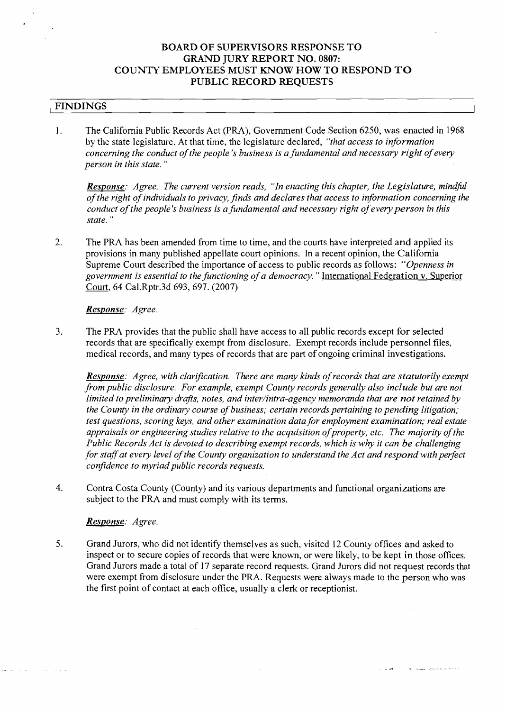# **BOARD OF SUPERVISORS RESPONSE TO GRAND JURY REPORT NO. 0807: COUNTY EMPLOYEES MUST KNOW HOW TO RESPOND TO PUBLIC RECORD REQUESTS**

## ( **FINDINGS**

1. The California Public Records Act (PRA), Government Code Section 6250, was enacted in 1968 by the state legislature. At that time, the legislature declared, *"that access to information concerning the conduct of the people's business is a fundamental and necessary right of every person in this state.* "

*Response: Agree. The current version reads, "In enacting this chapter, the Legislature, mindful of the right of individuals to privacy, finds and declares that access to information concerning the conduct of the people's business is a fundamental and necessary right of every person in this state.* "

2. The PRA has been amended from time to time, and the courts have interpreted and applied its provisions in many published appellate court opinions. In a recent opinion, the California Supreme Court described the importance of access to public records as follows: *"Openness in government is essential to the functioning of a democracy.* " International Federation v. Superior Court, 64 Cal.Rptr.3d 693,697. (2007)

### *Response: Agree.*

3. The PRA provides that the public shall have access to all public records except for selected records that are specifically exempt from disclosure. Exempt records include personnel files, medical records, and many types of records that are part of ongoing criminal investigations.

*Response: Agree, with clarification. There are many kinds of records that are statutorily exempt* from public disclosure. For example, exempt County records generally also include but are not *limited to preliminary drafts, notes, and inter/intra-agency memoranda that are not retained by the County in the ordinary course of business; certain records pertaining to pending litigation; test questions, scoring keys, and other examination data for employment examination; real estate appraisals or engineering studies relative to the acquisition of property, etc. The majority of the Public Records Act is devoted to describing exempt records, which is why it can be challenging* for staff at every level of the County organization to understand the Act and respond with perfect *confidence to myriad public records requests.* 

4. Contra Costa County (County) and its various departments and functional organizations are subject to the PRA and must comply with its terms.

### *Response: Agree.*

5. Grand Jurors, who did not identify themselves as such, visited 12 County offices and asked to inspect or to secure copies of records that were known, or were likely, to be kept in those offices. Grand Jurors made a total of 17 separate record requests. Grand Jurors did not request records that were exempt from disclosure under the PRA. Requests were always made to the person who was the first point of contact at each ofice, usually a clerk or receptionist.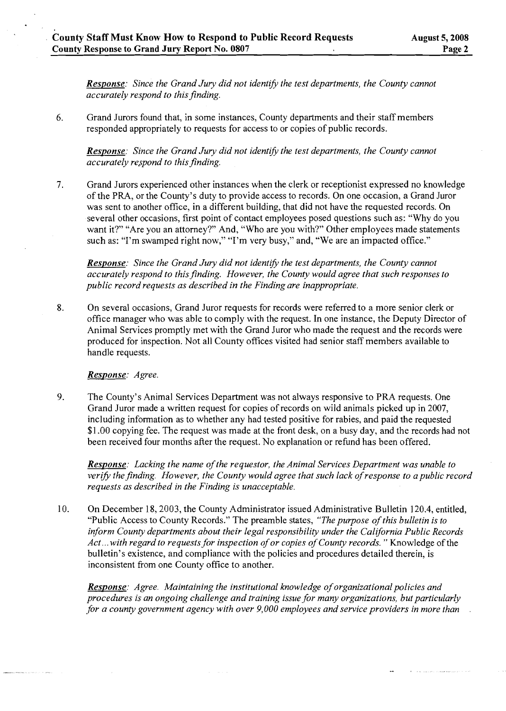*Response: Since the Grand Jury did not identify the test departments, the County cannot accurately respond to this finding.* 

6. Grand Jurors found that, in some instances, County departments and their staff members responded appropriately to requests for access to or copies of public records.

*Response: Since the Grand Jury did not identify the test departments, the County cannot accurately respond to this finding.* 

7. Grand Jurors experienced other instances when the clerk or receptionist expressed no knowledge of the PRA, or the County's duty to provide access to records. On one occasion, a Grand Juror was sent to another office, in a different building, that did not have the requested records. On several other occasions, first point of contact employees posed questions such as: "Why do you want it?" "Are you an attorney?" And, "Who are you with?" Other employees made statements such as: "I'm swamped right now," "I'm very busy," and, "We are an impacted office."

*Response: Since the Grand Jury did not identify the test departments, the County cannot accurately respond to this finding. However, the County would agree that such responses to public record requests as described in the Finding are inappropriate.* 

**8.** On several occasions, Grand Juror requests for records were referred to a more senior clerk or office manager who was able to comply with the request. In one instance, the Deputy Director of Animal Services promptly met with the Grand Juror who made the request and the records were produced for inspection. Not all County ofices visited had senior staff members available to handle requests.

### *Response: Agree.*

9. The County's Animal Services Department was not always responsive to PRA requests. One Grand Juror made a written request for copies of records on wild animals picked up in 2007, including information as to whether any had tested positive for rabies, and paid the requested \$1.00 copying fee. The request was made at the front desk, on a busy day, and the records had not been received four months after the request. No explanation or refund has been offered.

*Response: Lacking the name of the requestor, the Animal Sewices Department was unable to verify the finding. However, the County would agree that such lack of response to a public record requests as described in the Finding is unacceptable.* 

10. On December 18,2003, the County Administrator issued Administrative Bulletin 120.4, entitled, "Public Access to County Records." The preamble states, *"The purpose of this bulletin is to inform County departments about their legal responsibility under the California Public Records Act* ... *with regard to requests for inspection of or copies of County records.* " Knowledge of the bulletin's existence, and compliance with the policies and procedures detailed therein, is inconsistent from one County office to another.

*Response: Agree. Maintaining the institutional knowledge of organizational policies and procedures is an ongoing challenge and training issue for many organizations, but particularly for a county government agency with over 9,000 employees and sewice providers in more than*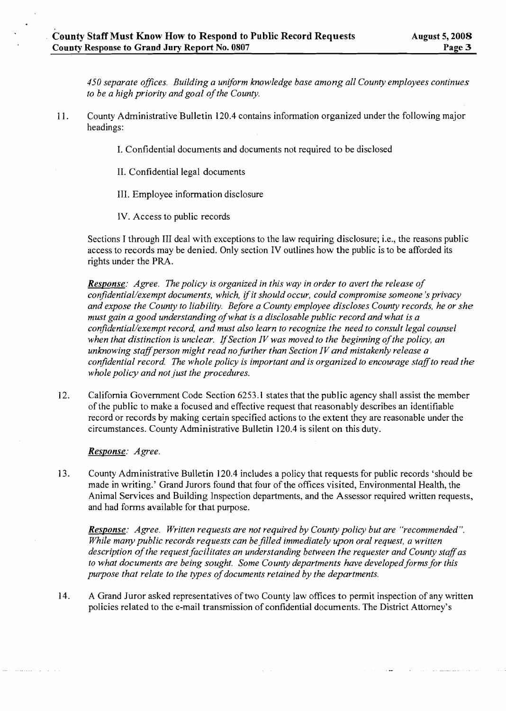*450 separate offices. Building a uniform knowledge base among all County employees continues to be a high priority and goal of the County.* 

- 11. County Administrative Bulletin 120.4 contains information organized under the following major headings:
	- I. Confidential documents and documents not required to be disclosed
	- 11. Confidential legal documents
	- 111. Employee information disclosure
	- IV. Access to public records

Sections I through 111 deal with exceptions to the law requiring disclosure; i.e., the reasons public access to records may be denied. Only section IV outlines how the public is to be afforded its rights under the PRA.

*Response: Agree. The policy is organized in this way in order to avert the release of conjdential/exempt documents, which, if it should occur, could compromise someone 's privacy and expose the County to liability. Before a County employee discloses County records, he or she must gain a good understanding of what is a disclosable public record and what is a conjdential/exempt record, and must also learn to recognize the need to consult legal counsel when that distinction is unclear. lfSection IV was moved to the beginning of the policy, an*  unknowing staff person might read no further than Section IV and mistakenly release a *confidential record. The whole policy is important and is organized to encourage staffto read the whole policy and not just the procedures.* 

12. California Government Code Section 6253.1 states that the public agency shall assist the member of the public to make a focused and effective request that reasonably describes an identifiable record or records by making certain specified actions to the extent they are reasonable under the circumstances. County Administrative Bulletin 120.4 is silent on this duty.

*Response: Agree.* 

13. County Administrative Bulletin 120.4 includes a policy that requests for public records 'should be made in writing.' Grand Jurors found that four of the offices visited, Environmental Health, the Animal Services and Building Inspection departments, and the Assessor required written requests, and had forms available for that purpose.

*Response: Agree. Written requests are not required by County policy but are "recommended". While many public records requests can be filled immediately upon oral request, a written description of the request facilitates an understanding between the requester and County staflas to what documents are being sought. Some County departments have developed forms for this purpose that relate to the types of documents retained by the departments.* 

14. A Grand Juror asked representatives of two County law offices to permit inspection of any written policies related to the e-mail transmission of confidential documents. The District Attorney's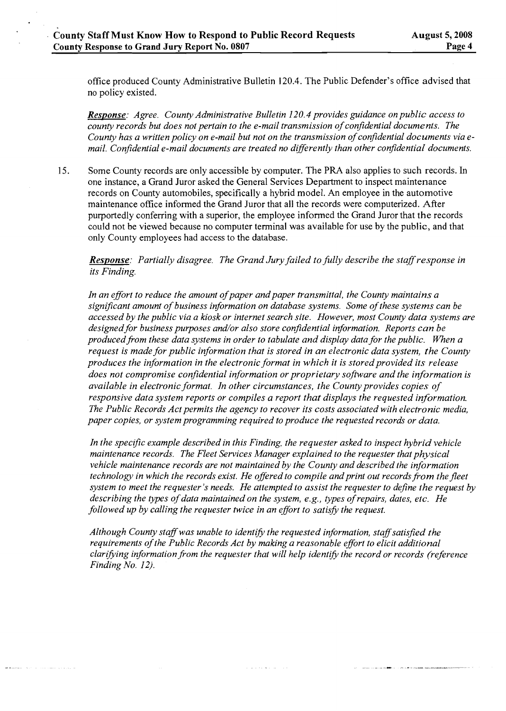office produced County Administrative Bulletin 120.4. The Public Defender's office advised that no policy existed.

*Response: Agree. County Administrative Bulletin 120.4 provides guidance on public access to county records but does not pertain to the e-mail transmission of confidential documents. The County has a written policy on e-mail but not on the transmission of confidential documents via e*mail. Confidential e-mail documents are treated no differently than other confidential documents.

15. Some County records are only accessible by computer. The PRA also applies to such records. In one instance, a Grand Juror asked the General Services Department to inspect maintenance records on County automobiles, specifically a hybrid model. An employee in the automotive maintenance office informed the Grand Juror that all the records were computerized. After purportedly conferring with a superior, the employee informed the Grand Juror that the records could not be viewed because no computer terminal was available for use by the public, and that only County employees had access to the database.

## *Response: Partially disagree. The Grand Jury failed to fully describe the staff response in its Finding.*

In an effort to reduce the amount of paper and paper transmittal, the County maintains a *significant amount of business information on database systems. Some of these systems can be accessed by the public via a kiosk or internet search site. However, most County data systems are*  designed for business purposes and/or also store confidential information. Reports can be *produced from these data systems in order to tabulate and display data for the public. When a request is made for public information that is stored in an electronic data system, the County*  produces the information in the electronic format in which it is stored provided its release *does not compromise confidential information or proprietary software and the information is available in electronic format. In other circumstances, the Countyprovides copies of responsive data system reports or compiles a report that displays the requested information. The Public Records Act permits the agency to recover its costs associated with electronic media, paper copies, or system programming required to produce the requested records or data.* 

In the specific example described in this Finding, the requester asked to inspect hybrid vehicle *maintenance records. The Fleet Sewices Manager explained to the requester that physical vehicle maintenance records are not maintained by the County and described the information technology in which the records exist. He offered to compile and print out records from the fleet system to meet the requester's needs. He attempted to assist the requester to dejine the request by describing the types of data maintained on the system, e.g., types of repairs, dates, etc. He followed up by calling the requester twice in an effort to satisfy the request.* 

Although County staff was unable to identify the requested information, staff satisfied the *requirements of the Public Records Act by making a reasonable effort to elicit additional*  clarifying information from the requester that will help identify the record or records (reference *Finding No. 12).* 

والمستقلة والمتواطئ والمناقب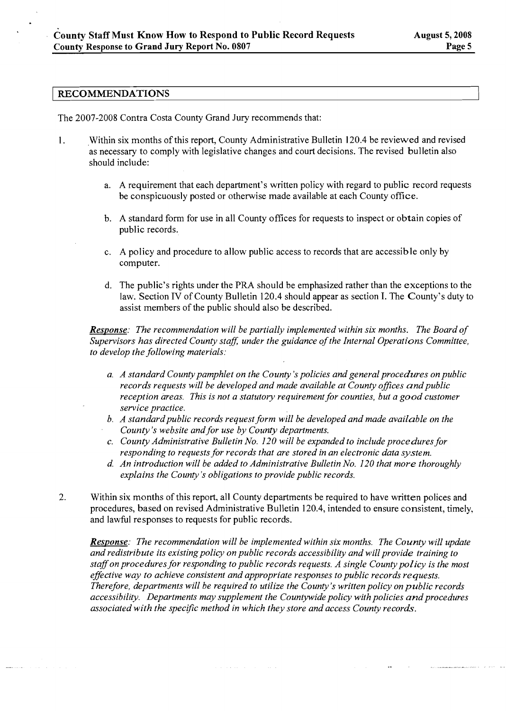#### **RECOMMENDATIONS**

The 2007-2008 Contra Costa County Grand Jury recommends that:

- 1. Within six months of this report, County Administrative Bulletin 120.4 be reviewed and revised as necessary to comply with legislative changes and court decisions. The revised bulletin also should include:
	- a. A requirement that each department's written policy with regard to public record requests be conspicuously posted or otherwise made available at each County office.
	- b. A standard form for use in all County offices for requests to inspect or obtain copies of public records.
	- c. A policy and procedure to allow public access to records that are accessible only by computer.
	- d. The public's rights under the PRA should be emphasized rather than the exceptions to the law. Section IV of County Bulletin 120.4 should appear as section I. The County's duty to assist members of the public should also be described.

*Response: The recommendation will be partially implemented within six months. The Board of Supervisors has directed County staff, under the guidance of the Internal Operations Committee, to develop the following materials:* 

- *a. A standard County pamphlet on the County* **S** *policies and general procedures on public*  records requests will be developed and made available at County offices and public *reception areas. This is not a statutory requirement for counties, but a good customer sew ice practice.*
- b. A standard public records request form will be developed and made available on the *County's website and for use by County departments.*
- *c. County Administrative Bulletin No. 120 will be expanded to include procedures for responding to requests for records that are stored in an electronic data system.*
- *d. An introduction will be added to Administrative Bulletin No. 120 that more thoroughly explains the County's obligations to provide public records.*
- 2. Within six months of this report, all County departments be required to have written polices and procedures, based on revised Administrative Bulletin 120.4, intended to ensure consistent, timely, and lawful responses to requests for public records.

 $\hat{a}$  ,  $\hat{a}$  ,  $\hat{a}$  ,  $\hat{a}$  ,  $\hat{a}$  ,  $\hat{a}$  ,  $\hat{a}$  ,  $\hat{a}$  ,  $\hat{a}$  ,  $\hat{a}$  ,  $\hat{a}$  ,  $\hat{a}$ 

*Response: The recommendation will be implemented within six months. The County will update and redistribute its existing policy on public records accessibility and will provide training to staff on procedures for responding to public records requests. A single County policy is the most effective way to achieve consistent and appropriate responses to public records requests. Therefore, departments will be required to utilize the County's written policy on public records accessibility. Departments may supplement the Countywide policy with policies and procedures associated with the specific method in which they store and access County records.*